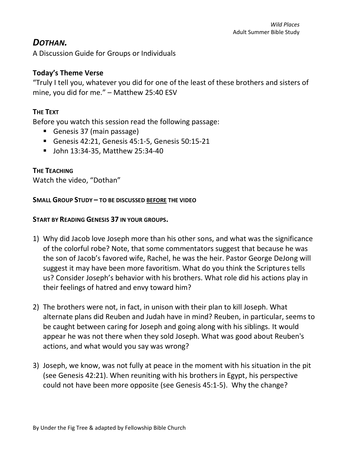# *DOTHAN.*

A Discussion Guide for Groups or Individuals

# **Today's Theme Verse**

"Truly I tell you, whatever you did for one of the least of these brothers and sisters of mine, you did for me." – Matthew 25:40 ESV

# **THE TEXT**

Before you watch this session read the following passage:

- Genesis 37 (main passage)
- Genesis 42:21, Genesis 45:1-5, Genesis 50:15-21
- John 13:34-35, Matthew 25:34-40

### **THE TEACHING**

Watch the video, "Dothan"

#### **SMALL GROUP STUDY – TO BE DISCUSSED BEFORE THE VIDEO**

#### **START BY READING GENESIS 37 IN YOUR GROUPS.**

- 1) Why did Jacob love Joseph more than his other sons, and what was the significance of the colorful robe? Note, that some commentators suggest that because he was the son of Jacob's favored wife, Rachel, he was the heir. Pastor George DeJong will suggest it may have been more favoritism. What do you think the Scriptures tells us? Consider Joseph's behavior with his brothers. What role did his actions play in their feelings of hatred and envy toward him?
- 2) The brothers were not, in fact, in unison with their plan to kill Joseph. What alternate plans did Reuben and Judah have in mind? Reuben, in particular, seems to be caught between caring for Joseph and going along with his siblings. It would appear he was not there when they sold Joseph. What was good about Reuben's actions, and what would you say was wrong?
- 3) Joseph, we know, was not fully at peace in the moment with his situation in the pit (see Genesis 42:21). When reuniting with his brothers in Egypt, his perspective could not have been more opposite (see Genesis 45:1-5). Why the change?